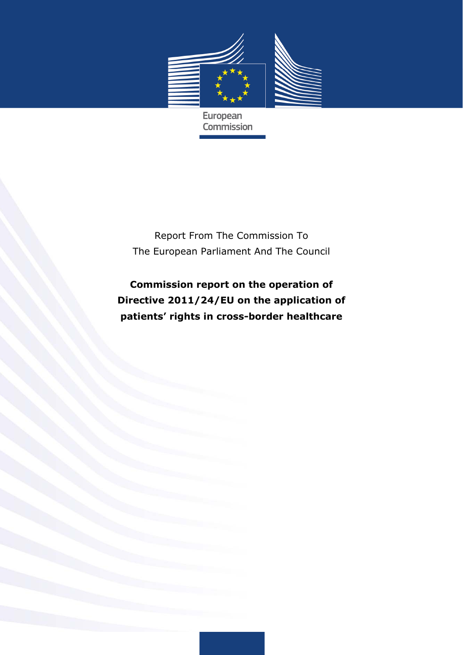

European **Commission** 

Report From The Commission To The European Parliament And The Council

**Commission report on the operation of Directive 2011/24/EU on the application of patients' rights in cross-border healthcare**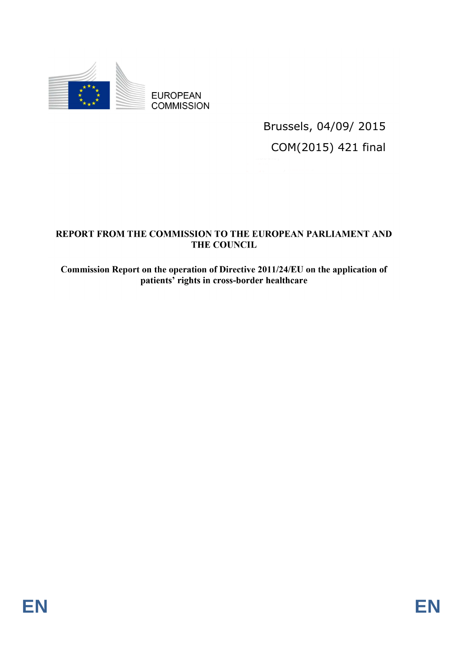

Brussels, 04/09/ 2015 COM(2015) 421 final

## REPORT FROM THE COMMISSION TO THE EUROPEAN PARLIAMENT AND **THE COUNCIL**

Commission Report on the operation of Directive 2011/24/EU on the application of patients' rights in cross-border healthcare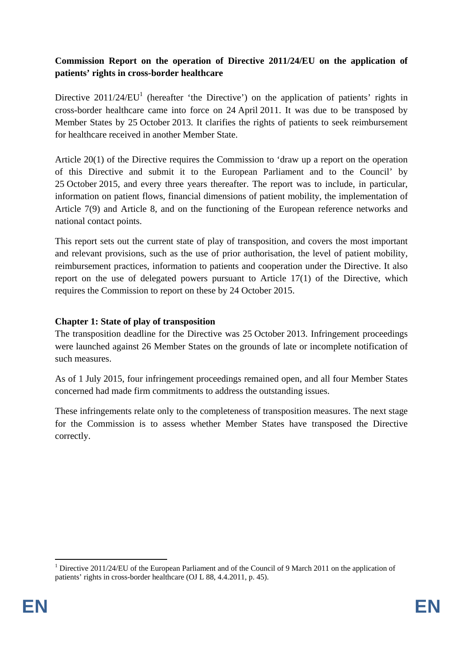# **Commission Report on the operation of Directive 2011/24/EU on the application of patients' rights in cross-border healthcare**

Directive  $2011/24/EU<sup>1</sup>$  (hereafter 'the Directive') on the application of patients' rights in cross-border healthcare came into force on 24 April 2011. It was due to be transposed by Member States by 25 October 2013. It clarifies the rights of patients to seek reimbursement for healthcare received in another Member State.

Article 20(1) of the Directive requires the Commission to 'draw up a report on the operation of this Directive and submit it to the European Parliament and to the Council' by 25 October 2015, and every three years thereafter. The report was to include, in particular, information on patient flows, financial dimensions of patient mobility, the implementation of Article 7(9) and Article 8, and on the functioning of the European reference networks and national contact points.

This report sets out the current state of play of transposition, and covers the most important and relevant provisions, such as the use of prior authorisation, the level of patient mobility, reimbursement practices, information to patients and cooperation under the Directive. It also report on the use of delegated powers pursuant to Article 17(1) of the Directive, which requires the Commission to report on these by 24 October 2015.

### **Chapter 1: State of play of transposition**

The transposition deadline for the Directive was 25 October 2013. Infringement proceedings were launched against 26 Member States on the grounds of late or incomplete notification of such measures.

As of 1 July 2015, four infringement proceedings remained open, and all four Member States concerned had made firm commitments to address the outstanding issues.

These infringements relate only to the completeness of transposition measures. The next stage for the Commission is to assess whether Member States have transposed the Directive correctly.

<sup>&</sup>lt;sup>1</sup> Directive 2011/24/EU of the European Parliament and of the Council of 9 March 2011 on the application of patients' rights in cross-border healthcare (OJ L 88, 4.4.2011, p. 45).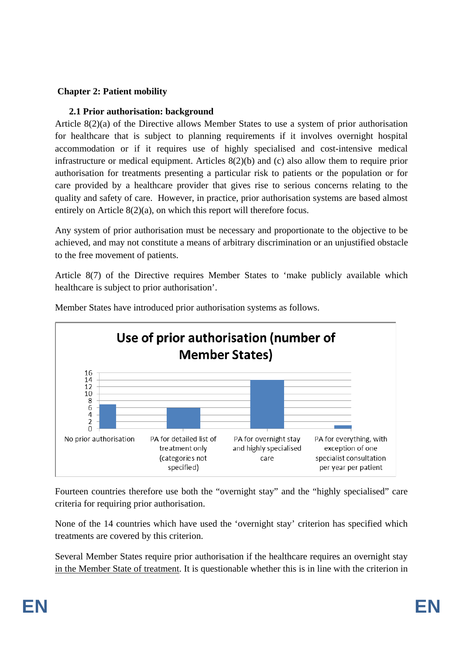## **Chapter 2: Patient mobility**

## **2.1 Prior authorisation: background**

Article 8(2)(a) of the Directive allows Member States to use a system of prior authorisation for healthcare that is subject to planning requirements if it involves overnight hospital accommodation or if it requires use of highly specialised and cost-intensive medical infrastructure or medical equipment. Articles 8(2)(b) and (c) also allow them to require prior authorisation for treatments presenting a particular risk to patients or the population or for care provided by a healthcare provider that gives rise to serious concerns relating to the quality and safety of care. However, in practice, prior authorisation systems are based almost entirely on Article 8(2)(a), on which this report will therefore focus.

Any system of prior authorisation must be necessary and proportionate to the objective to be achieved, and may not constitute a means of arbitrary discrimination or an unjustified obstacle to the free movement of patients.

Article 8(7) of the Directive requires Member States to 'make publicly available which healthcare is subject to prior authorisation'.



Member States have introduced prior authorisation systems as follows.

Fourteen countries therefore use both the "overnight stay" and the "highly specialised" care criteria for requiring prior authorisation.

None of the 14 countries which have used the 'overnight stay' criterion has specified which treatments are covered by this criterion.

Several Member States require prior authorisation if the healthcare requires an overnight stay in the Member State of treatment. It is questionable whether this is in line with the criterion in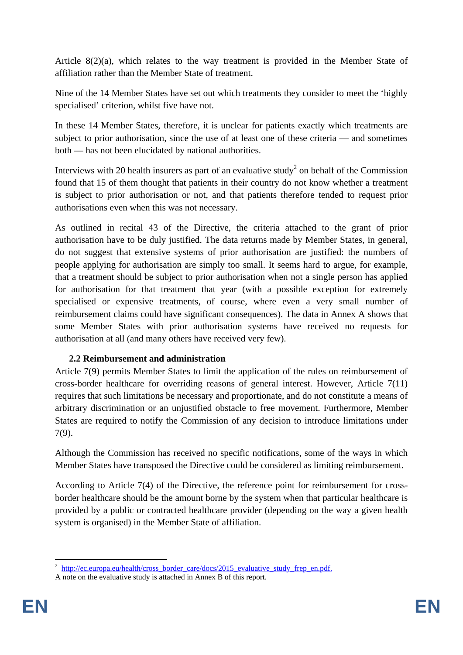Article 8(2)(a), which relates to the way treatment is provided in the Member State of affiliation rather than the Member State of treatment.

Nine of the 14 Member States have set out which treatments they consider to meet the 'highly specialised' criterion, whilst five have not.

In these 14 Member States, therefore, it is unclear for patients exactly which treatments are subject to prior authorisation, since the use of at least one of these criteria — and sometimes both — has not been elucidated by national authorities.

Interviews with 20 health insurers as part of an evaluative study<sup>2</sup> on behalf of the Commission found that 15 of them thought that patients in their country do not know whether a treatment is subject to prior authorisation or not, and that patients therefore tended to request prior authorisations even when this was not necessary.

As outlined in recital 43 of the Directive, the criteria attached to the grant of prior authorisation have to be duly justified. The data returns made by Member States, in general, do not suggest that extensive systems of prior authorisation are justified: the numbers of people applying for authorisation are simply too small. It seems hard to argue, for example, that a treatment should be subject to prior authorisation when not a single person has applied for authorisation for that treatment that year (with a possible exception for extremely specialised or expensive treatments, of course, where even a very small number of reimbursement claims could have significant consequences). The data in Annex A shows that some Member States with prior authorisation systems have received no requests for authorisation at all (and many others have received very few).

# **2.2 Reimbursement and administration**

Article 7(9) permits Member States to limit the application of the rules on reimbursement of cross-border healthcare for overriding reasons of general interest. However, Article 7(11) requires that such limitations be necessary and proportionate, and do not constitute a means of arbitrary discrimination or an unjustified obstacle to free movement. Furthermore, Member States are required to notify the Commission of any decision to introduce limitations under 7(9).

Although the Commission has received no specific notifications, some of the ways in which Member States have transposed the Directive could be considered as limiting reimbursement.

According to Article 7(4) of the Directive, the reference point for reimbursement for crossborder healthcare should be the amount borne by the system when that particular healthcare is provided by a public or contracted healthcare provider (depending on the way a given health system is organised) in the Member State of affiliation.

<sup>&</sup>lt;sup>2</sup> [http://ec.europa.eu/health/cross\\_border\\_care/docs/2015\\_evaluative\\_study\\_f](http://ec.europa.eu/health/cross_border_care/docs/2015_evaluative_study_frep_en.pdf)rep\_en.pdf.

A note on the evaluative study is attached in Annex B of this report.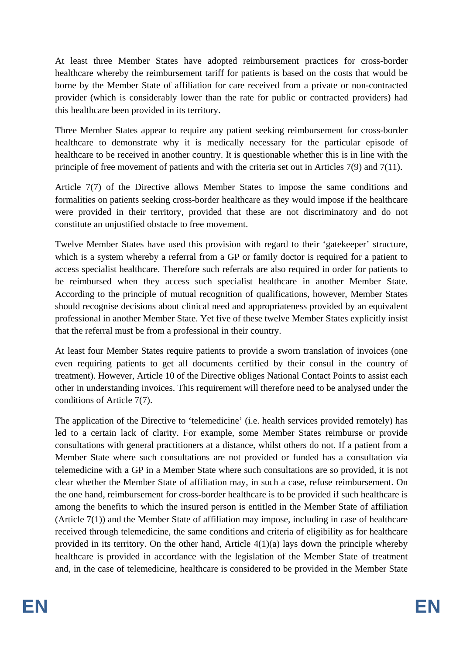At least three Member States have adopted reimbursement practices for cross-border healthcare whereby the reimbursement tariff for patients is based on the costs that would be borne by the Member State of affiliation for care received from a private or non-contracted provider (which is considerably lower than the rate for public or contracted providers) had this healthcare been provided in its territory.

Three Member States appear to require any patient seeking reimbursement for cross-border healthcare to demonstrate why it is medically necessary for the particular episode of healthcare to be received in another country. It is questionable whether this is in line with the principle of free movement of patients and with the criteria set out in Articles 7(9) and 7(11).

Article 7(7) of the Directive allows Member States to impose the same conditions and formalities on patients seeking cross-border healthcare as they would impose if the healthcare were provided in their territory, provided that these are not discriminatory and do not constitute an unjustified obstacle to free movement.

Twelve Member States have used this provision with regard to their 'gatekeeper' structure, which is a system whereby a referral from a GP or family doctor is required for a patient to access specialist healthcare. Therefore such referrals are also required in order for patients to be reimbursed when they access such specialist healthcare in another Member State. According to the principle of mutual recognition of qualifications, however, Member States should recognise decisions about clinical need and appropriateness provided by an equivalent professional in another Member State. Yet five of these twelve Member States explicitly insist that the referral must be from a professional in their country.

At least four Member States require patients to provide a sworn translation of invoices (one even requiring patients to get all documents certified by their consul in the country of treatment). However, Article 10 of the Directive obliges National Contact Points to assist each other in understanding invoices. This requirement will therefore need to be analysed under the conditions of Article 7(7).

The application of the Directive to 'telemedicine' (i.e. health services provided remotely) has led to a certain lack of clarity. For example, some Member States reimburse or provide consultations with general practitioners at a distance, whilst others do not. If a patient from a Member State where such consultations are not provided or funded has a consultation via telemedicine with a GP in a Member State where such consultations are so provided, it is not clear whether the Member State of affiliation may, in such a case, refuse reimbursement. On the one hand, reimbursement for cross-border healthcare is to be provided if such healthcare is among the benefits to which the insured person is entitled in the Member State of affiliation (Article 7(1)) and the Member State of affiliation may impose, including in case of healthcare received through telemedicine, the same conditions and criteria of eligibility as for healthcare provided in its territory. On the other hand, Article  $4(1)(a)$  lays down the principle whereby healthcare is provided in accordance with the legislation of the Member State of treatment and, in the case of telemedicine, healthcare is considered to be provided in the Member State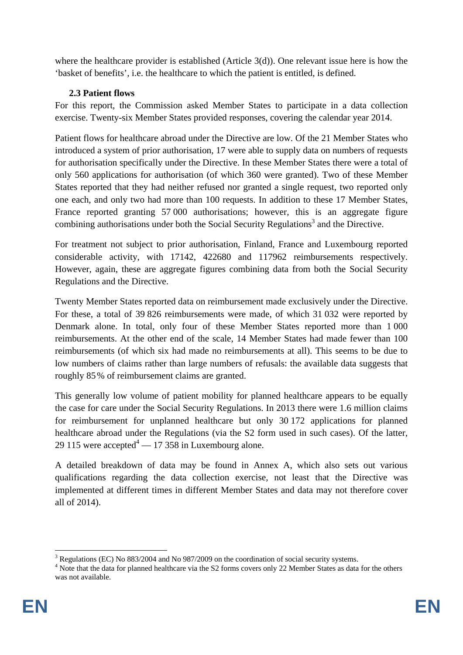where the healthcare provider is established (Article 3(d)). One relevant issue here is how the 'basket of benefits', i.e. the healthcare to which the patient is entitled, is defined.

## **2.3 Patient flows**

For this report, the Commission asked Member States to participate in a data collection exercise. Twenty-six Member States provided responses, covering the calendar year 2014.

Patient flows for healthcare abroad under the Directive are low. Of the 21 Member States who introduced a system of prior authorisation, 17 were able to supply data on numbers of requests for authorisation specifically under the Directive. In these Member States there were a total of only 560 applications for authorisation (of which 360 were granted). Two of these Member States reported that they had neither refused nor granted a single request, two reported only one each, and only two had more than 100 requests. In addition to these 17 Member States, France reported granting 57 000 authorisations; however, this is an aggregate figure combining authorisations under both the Social Security Regulations<sup>3</sup> and the Directive.

For treatment not subject to prior authorisation, Finland, France and Luxembourg reported considerable activity, with 17142, 422680 and 117962 reimbursements respectively. However, again, these are aggregate figures combining data from both the Social Security Regulations and the Directive.

Twenty Member States reported data on reimbursement made exclusively under the Directive. For these, a total of 39 826 reimbursements were made, of which 31 032 were reported by Denmark alone. In total, only four of these Member States reported more than 1 000 reimbursements. At the other end of the scale, 14 Member States had made fewer than 100 reimbursements (of which six had made no reimbursements at all). This seems to be due to low numbers of claims rather than large numbers of refusals: the available data suggests that roughly 85% of reimbursement claims are granted.

This generally low volume of patient mobility for planned healthcare appears to be equally the case for care under the Social Security Regulations. In 2013 there were 1.6 million claims for reimbursement for unplanned healthcare but only 30 172 applications for planned healthcare abroad under the Regulations (via the S2 form used in such cases). Of the latter, 29 115 were accepted<sup>4</sup>  $-$  17 358 in Luxembourg alone.

A detailed breakdown of data may be found in Annex A, which also sets out various qualifications regarding the data collection exercise, not least that the Directive was implemented at different times in different Member States and data may not therefore cover all of 2014).

<sup>&</sup>lt;sup>3</sup> Regulations (EC) No 883/2004 and No 987/2009 on the coordination of social security systems.

<sup>&</sup>lt;sup>4</sup> Note that the data for planned healthcare via the S2 forms covers only 22 Member States as data for the others was not available.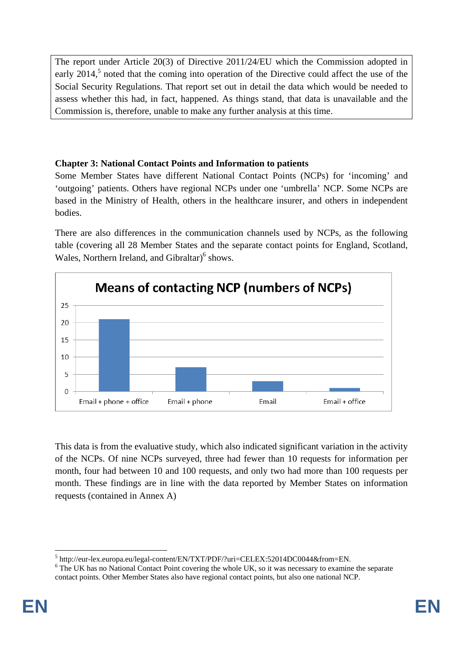The report under Article 20(3) of Directive 2011/24/EU which the Commission adopted in early  $2014$ <sup>5</sup>, noted that the coming into operation of the Directive could affect the use of the Social Security Regulations. That report set out in detail the data which would be needed to assess whether this had, in fact, happened. As things stand, that data is unavailable and the Commission is, therefore, unable to make any further analysis at this time.

# **Chapter 3: National Contact Points and Information to patients**

Some Member States have different National Contact Points (NCPs) for 'incoming' and 'outgoing' patients. Others have regional NCPs under one 'umbrella' NCP. Some NCPs are based in the Ministry of Health, others in the healthcare insurer, and others in independent bodies.

There are also differences in the communication channels used by NCPs, as the following table (covering all 28 Member States and the separate contact points for England, Scotland, Wales, Northern Ireland, and Gibraltar)<sup>6</sup> shows.



This data is from the evaluative study, which also indicated significant variation in the activity of the NCPs. Of nine NCPs surveyed, three had fewer than 10 requests for information per month, four had between 10 and 100 requests, and only two had more than 100 requests per month. These findings are in line with the data reported by Member States on information requests (contained in Annex A)

<sup>1</sup>  $^5$  http://eur-lex.europa.eu/legal-content/EN/TXT/PDF/?uri=CELEX:52014DC0044&from=EN.

<sup>&</sup>lt;sup>6</sup> The UK has no National Contact Point covering the whole UK, so it was necessary to examine the separate contact points. Other Member States also have regional contact points, but also one national NCP.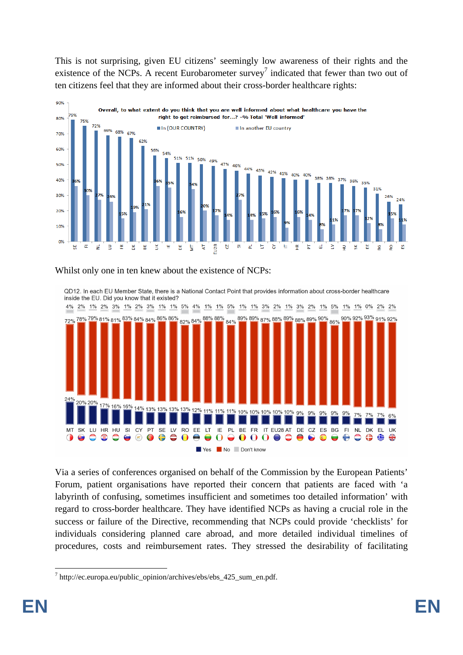This is not surprising, given EU citizens' seemingly low awareness of their rights and the existence of the NCPs. A recent Eurobarometer survey<sup>7</sup> indicated that fewer than two out of ten citizens feel that they are informed about their cross-border healthcare rights:



### Whilst only one in ten knew about the existence of NCPs:

QD12. In each EU Member State, there is a National Contact Point that provides information about cross-border healthcare inside the EU. Did you know that it existed?



Via a series of conferences organised on behalf of the Commission by the European Patients' Forum, patient organisations have reported their concern that patients are faced with 'a labyrinth of confusing, sometimes insufficient and sometimes too detailed information' with regard to cross-border healthcare. They have identified NCPs as having a crucial role in the success or failure of the Directive, recommending that NCPs could provide 'checklists' for individuals considering planned care abroad, and more detailed individual timelines of procedures, costs and reimbursement rates. They stressed the desirability of facilitating

**<sup>.</sup>** <sup>7</sup> http://ec.europa.eu/public\_opinion/archives/ebs/ebs\_425\_sum\_en.pdf.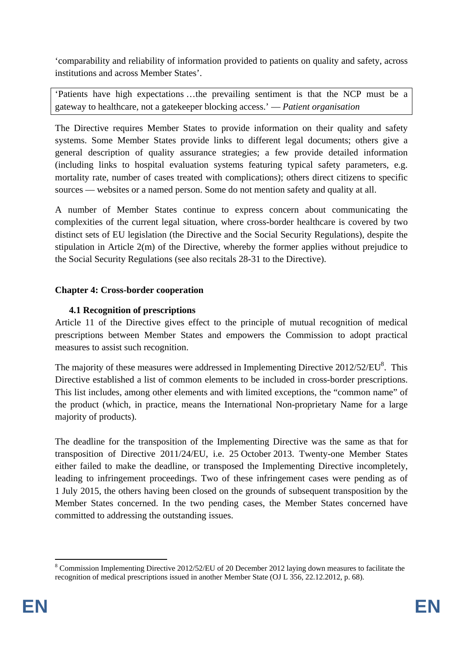'comparability and reliability of information provided to patients on quality and safety, across institutions and across Member States'.

'Patients have high expectations …the prevailing sentiment is that the NCP must be a gateway to healthcare, not a gatekeeper blocking access.' — *Patient organisation*

The Directive requires Member States to provide information on their quality and safety systems. Some Member States provide links to different legal documents; others give a general description of quality assurance strategies; a few provide detailed information (including links to hospital evaluation systems featuring typical safety parameters, e.g. mortality rate, number of cases treated with complications); others direct citizens to specific sources — websites or a named person. Some do not mention safety and quality at all.

A number of Member States continue to express concern about communicating the complexities of the current legal situation, where cross-border healthcare is covered by two distinct sets of EU legislation (the Directive and the Social Security Regulations), despite the stipulation in Article 2(m) of the Directive, whereby the former applies without prejudice to the Social Security Regulations (see also recitals 28-31 to the Directive).

### **Chapter 4: Cross-border cooperation**

# **4.1 Recognition of prescriptions**

Article 11 of the Directive gives effect to the principle of mutual recognition of medical prescriptions between Member States and empowers the Commission to adopt practical measures to assist such recognition.

The majority of these measures were addressed in Implementing Directive  $2012/52/EU^8$ . This Directive established a list of common elements to be included in cross-border prescriptions. This list includes, among other elements and with limited exceptions, the "common name" of the product (which, in practice, means the International Non-proprietary Name for a large majority of products).

The deadline for the transposition of the Implementing Directive was the same as that for transposition of Directive 2011/24/EU, i.e. 25 October 2013. Twenty-one Member States either failed to make the deadline, or transposed the Implementing Directive incompletely, leading to infringement proceedings. Two of these infringement cases were pending as of 1 July 2015, the others having been closed on the grounds of subsequent transposition by the Member States concerned. In the two pending cases, the Member States concerned have committed to addressing the outstanding issues.

<sup>&</sup>lt;sup>8</sup> Commission Implementing Directive 2012/52/EU of 20 December 2012 laying down measures to facilitate the recognition of medical prescriptions issued in another Member State (OJ L 356, 22.12.2012, p. 68).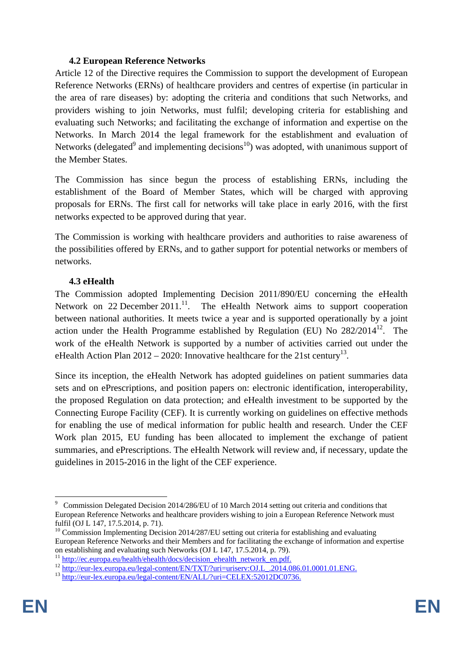#### **4.2 European Reference Networks**

Article 12 of the Directive requires the Commission to support the development of European Reference Networks (ERNs) of healthcare providers and centres of expertise (in particular in the area of rare diseases) by: adopting the criteria and conditions that such Networks, and providers wishing to join Networks, must fulfil; developing criteria for establishing and evaluating such Networks; and facilitating the exchange of information and expertise on the Networks. In March 2014 the legal framework for the establishment and evaluation of Networks (delegated<sup>9</sup> and implementing decisions<sup>10</sup>) was adopted, with unanimous support of the Member States.

The Commission has since begun the process of establishing ERNs, including the establishment of the Board of Member States, which will be charged with approving proposals for ERNs. The first call for networks will take place in early 2016, with the first networks expected to be approved during that year.

The Commission is working with healthcare providers and authorities to raise awareness of the possibilities offered by ERNs, and to gather support for potential networks or members of networks.

#### **4.3 eHealth**

The Commission adopted Implementing Decision 2011/890/EU concerning the eHealth Network on 22 December 2011.<sup>11</sup>. The eHealth Network aims to support cooperation between national authorities. It meets twice a year and is supported operationally by a joint action under the Health Programme established by Regulation (EU) No  $282/2014^{12}$ . The work of the eHealth Network is supported by a number of activities carried out under the eHealth Action Plan  $2012 - 2020$ : Innovative healthcare for the 21st century<sup>13</sup>.

Since its inception, the eHealth Network has adopted guidelines on patient summaries data sets and on ePrescriptions, and position papers on: electronic identification, interoperability, the proposed Regulation on data protection; and eHealth investment to be supported by the Connecting Europe Facility (CEF). It is currently working on guidelines on effective methods for enabling the use of medical information for public health and research. Under the CEF Work plan 2015, EU funding has been allocated to implement the exchange of patient summaries, and ePrescriptions. The eHealth Network will review and, if necessary, update the guidelines in 2015-2016 in the light of the CEF experience.

<sup>1</sup> <sup>9</sup> Commission Delegated Decision 2014/286/EU of 10 March 2014 setting out criteria and conditions that European Reference Networks and healthcare providers wishing to join a European Reference Network must fulfil (OJ L 147, 17.5.2014, p. 71).

<sup>&</sup>lt;sup>10</sup> Commission Implementing Decision 2014/287/EU setting out criteria for establishing and evaluating European Reference Networks and their Members and for facilitating the exchange of information and expertise on establishing and evaluating such Networks (OJ L 147, 17.5.2014, p. 79).

<sup>&</sup>lt;sup>11</sup><br>[http://ec.europa.eu/health/ehealth/docs/](http://ec.europa.eu/health/ehealth/docs/decision_ehealth_network_en.pdf)decision\_ehealth\_network\_en.pdf.<br><sup>12</sup> http://eur-lex.europa.eu/legal-content/EN/TXT/?uri=uriserv:OJ.L\_2014.086.01.0001.01.ENG.<br><sup>13</sup> http://eur-lex.europa.eu/legal-content/EN/ALL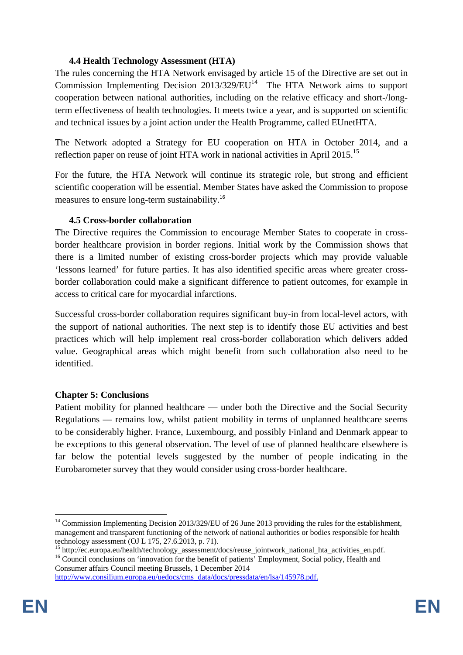## **4.4 Health Technology Assessment (HTA)**

The rules concerning the HTA Network envisaged by article 15 of the Directive are set out in Commission Implementing Decision  $2013/329/EU<sup>14</sup>$  The HTA Network aims to support cooperation between national authorities, including on the relative efficacy and short-/longterm effectiveness of health technologies. It meets twice a year, and is supported on scientific and technical issues by a joint action under the Health Programme, called EUnetHTA.

The Network adopted a Strategy for EU cooperation on HTA in October 2014, and a reflection paper on reuse of joint HTA work in national activities in April 2015.<sup>15</sup>

For the future, the HTA Network will continue its strategic role, but strong and efficient scientific cooperation will be essential. Member States have asked the Commission to propose measures to ensure long-term sustainability.<sup>16</sup>

### **4.5 Cross-border collaboration**

The Directive requires the Commission to encourage Member States to cooperate in crossborder healthcare provision in border regions. Initial work by the Commission shows that there is a limited number of existing cross-border projects which may provide valuable 'lessons learned' for future parties. It has also identified specific areas where greater crossborder collaboration could make a significant difference to patient outcomes, for example in access to critical care for myocardial infarctions.

Successful cross-border collaboration requires significant buy-in from local-level actors, with the support of national authorities. The next step is to identify those EU activities and best practices which will help implement real cross-border collaboration which delivers added value. Geographical areas which might benefit from such collaboration also need to be identified.

### **Chapter 5: Conclusions**

Patient mobility for planned healthcare — under both the Directive and the Social Security Regulations — remains low, whilst patient mobility in terms of unplanned healthcare seems to be considerably higher. France, Luxembourg, and possibly Finland and Denmark appear to be exceptions to this general observation. The level of use of planned healthcare elsewhere is far below the potential levels suggested by the number of people indicating in the Eurobarometer survey that they would consider using cross-border healthcare.

<sup>&</sup>lt;sup>14</sup> Commission Implementing Decision 2013/329/EU of 26 June 2013 providing the rules for the establishment, management and transparent functioning of the network of national authorities or bodies responsible for health technology assessment (OJ L 175, 27.6.2013, p. 71).

<sup>&</sup>lt;sup>15</sup> http://ec.europa.eu/health/technology\_assessment/docs/reuse\_jointwork\_national\_hta\_activities\_en.pdf.

<sup>&</sup>lt;sup>16</sup> Council conclusions on 'innovation for the benefit of patients' Employment, Social policy, Health and Consumer affairs Council meeting Brussels, 1 December 2014

[http://www.consilium.europa.eu/uedocs/cms\\_data/doc](http://www.consilium.europa.eu/uedocs/cms_data/docs/pressdata/en/lsa/145978.pdf)s/pressdata/en/lsa/145978.pdf.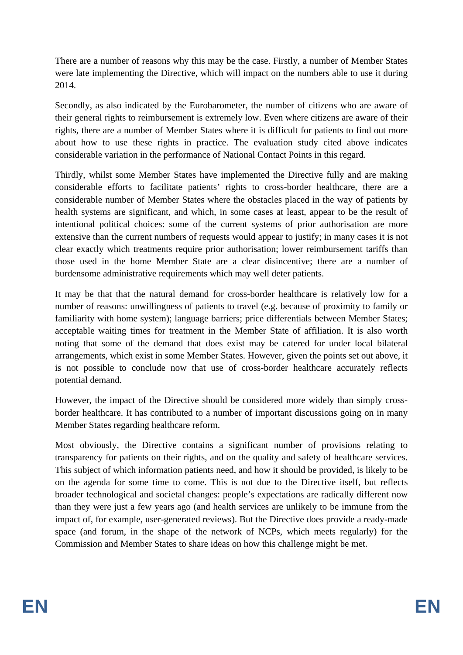There are a number of reasons why this may be the case. Firstly, a number of Member States were late implementing the Directive, which will impact on the numbers able to use it during 2014.

Secondly, as also indicated by the Eurobarometer, the number of citizens who are aware of their general rights to reimbursement is extremely low. Even where citizens are aware of their rights, there are a number of Member States where it is difficult for patients to find out more about how to use these rights in practice. The evaluation study cited above indicates considerable variation in the performance of National Contact Points in this regard.

Thirdly, whilst some Member States have implemented the Directive fully and are making considerable efforts to facilitate patients' rights to cross-border healthcare, there are a considerable number of Member States where the obstacles placed in the way of patients by health systems are significant, and which, in some cases at least, appear to be the result of intentional political choices: some of the current systems of prior authorisation are more extensive than the current numbers of requests would appear to justify; in many cases it is not clear exactly which treatments require prior authorisation; lower reimbursement tariffs than those used in the home Member State are a clear disincentive; there are a number of burdensome administrative requirements which may well deter patients.

It may be that that the natural demand for cross-border healthcare is relatively low for a number of reasons: unwillingness of patients to travel (e.g. because of proximity to family or familiarity with home system); language barriers; price differentials between Member States; acceptable waiting times for treatment in the Member State of affiliation. It is also worth noting that some of the demand that does exist may be catered for under local bilateral arrangements, which exist in some Member States. However, given the points set out above, it is not possible to conclude now that use of cross-border healthcare accurately reflects potential demand.

However, the impact of the Directive should be considered more widely than simply crossborder healthcare. It has contributed to a number of important discussions going on in many Member States regarding healthcare reform.

Most obviously, the Directive contains a significant number of provisions relating to transparency for patients on their rights, and on the quality and safety of healthcare services. This subject of which information patients need, and how it should be provided, is likely to be on the agenda for some time to come. This is not due to the Directive itself, but reflects broader technological and societal changes: people's expectations are radically different now than they were just a few years ago (and health services are unlikely to be immune from the impact of, for example, user-generated reviews). But the Directive does provide a ready-made space (and forum, in the shape of the network of NCPs, which meets regularly) for the Commission and Member States to share ideas on how this challenge might be met.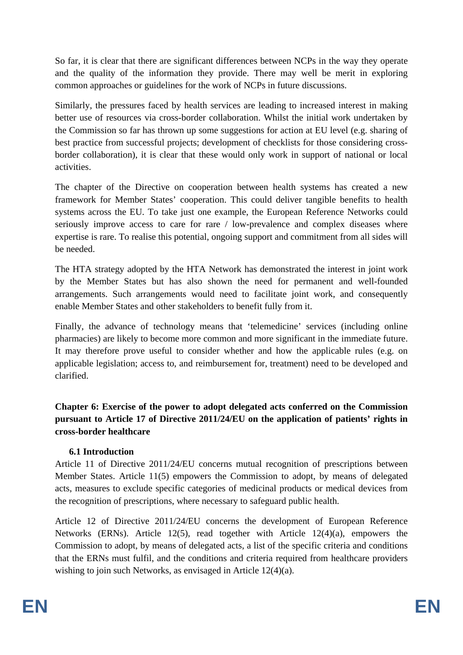So far, it is clear that there are significant differences between NCPs in the way they operate and the quality of the information they provide. There may well be merit in exploring common approaches or guidelines for the work of NCPs in future discussions.

Similarly, the pressures faced by health services are leading to increased interest in making better use of resources via cross-border collaboration. Whilst the initial work undertaken by the Commission so far has thrown up some suggestions for action at EU level (e.g. sharing of best practice from successful projects; development of checklists for those considering crossborder collaboration), it is clear that these would only work in support of national or local activities.

The chapter of the Directive on cooperation between health systems has created a new framework for Member States' cooperation. This could deliver tangible benefits to health systems across the EU. To take just one example, the European Reference Networks could seriously improve access to care for rare / low-prevalence and complex diseases where expertise is rare. To realise this potential, ongoing support and commitment from all sides will be needed.

The HTA strategy adopted by the HTA Network has demonstrated the interest in joint work by the Member States but has also shown the need for permanent and well-founded arrangements. Such arrangements would need to facilitate joint work, and consequently enable Member States and other stakeholders to benefit fully from it.

Finally, the advance of technology means that 'telemedicine' services (including online pharmacies) are likely to become more common and more significant in the immediate future. It may therefore prove useful to consider whether and how the applicable rules (e.g. on applicable legislation; access to, and reimbursement for, treatment) need to be developed and clarified.

**Chapter 6: Exercise of the power to adopt delegated acts conferred on the Commission pursuant to Article 17 of Directive 2011/24/EU on the application of patients' rights in cross-border healthcare** 

### **6.1 Introduction**

Article 11 of Directive 2011/24/EU concerns mutual recognition of prescriptions between Member States. Article 11(5) empowers the Commission to adopt, by means of delegated acts, measures to exclude specific categories of medicinal products or medical devices from the recognition of prescriptions, where necessary to safeguard public health.

Article 12 of Directive 2011/24/EU concerns the development of European Reference Networks (ERNs). Article 12(5), read together with Article 12(4)(a), empowers the Commission to adopt, by means of delegated acts, a list of the specific criteria and conditions that the ERNs must fulfil, and the conditions and criteria required from healthcare providers wishing to join such Networks, as envisaged in Article 12(4)(a).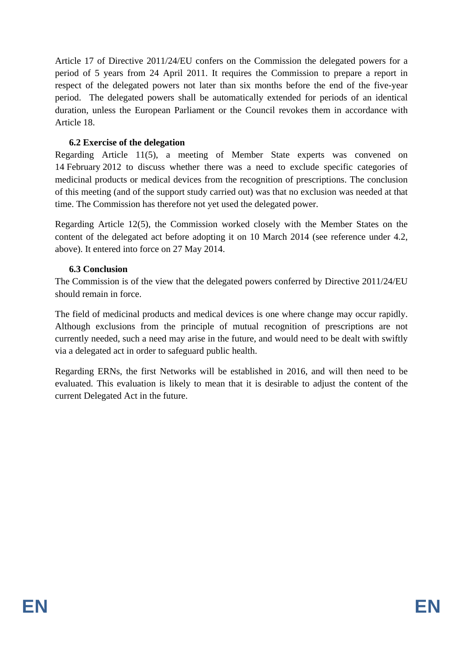Article 17 of Directive 2011/24/EU confers on the Commission the delegated powers for a period of 5 years from 24 April 2011. It requires the Commission to prepare a report in respect of the delegated powers not later than six months before the end of the five-year period. The delegated powers shall be automatically extended for periods of an identical duration, unless the European Parliament or the Council revokes them in accordance with Article 18.

#### **6.2 Exercise of the delegation**

Regarding Article 11(5), a meeting of Member State experts was convened on 14 February 2012 to discuss whether there was a need to exclude specific categories of medicinal products or medical devices from the recognition of prescriptions. The conclusion of this meeting (and of the support study carried out) was that no exclusion was needed at that time. The Commission has therefore not yet used the delegated power.

Regarding Article 12(5), the Commission worked closely with the Member States on the content of the delegated act before adopting it on 10 March 2014 (see reference under 4.2, above). It entered into force on 27 May 2014.

#### **6.3 Conclusion**

The Commission is of the view that the delegated powers conferred by Directive 2011/24/EU should remain in force.

The field of medicinal products and medical devices is one where change may occur rapidly. Although exclusions from the principle of mutual recognition of prescriptions are not currently needed, such a need may arise in the future, and would need to be dealt with swiftly via a delegated act in order to safeguard public health.

Regarding ERNs, the first Networks will be established in 2016, and will then need to be evaluated. This evaluation is likely to mean that it is desirable to adjust the content of the current Delegated Act in the future.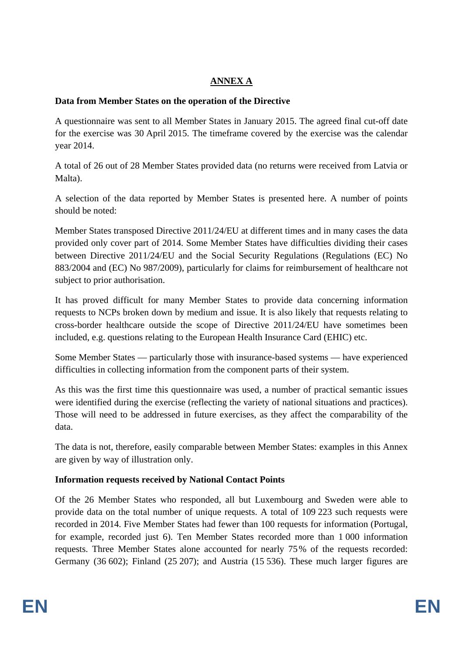## **ANNEX A**

## **Data from Member States on the operation of the Directive**

A questionnaire was sent to all Member States in January 2015. The agreed final cut-off date for the exercise was 30 April 2015. The timeframe covered by the exercise was the calendar year 2014.

A total of 26 out of 28 Member States provided data (no returns were received from Latvia or Malta).

A selection of the data reported by Member States is presented here. A number of points should be noted:

Member States transposed Directive 2011/24/EU at different times and in many cases the data provided only cover part of 2014. Some Member States have difficulties dividing their cases between Directive 2011/24/EU and the Social Security Regulations (Regulations (EC) No 883/2004 and (EC) No 987/2009), particularly for claims for reimbursement of healthcare not subject to prior authorisation.

It has proved difficult for many Member States to provide data concerning information requests to NCPs broken down by medium and issue. It is also likely that requests relating to cross-border healthcare outside the scope of Directive 2011/24/EU have sometimes been included, e.g. questions relating to the European Health Insurance Card (EHIC) etc.

Some Member States — particularly those with insurance-based systems — have experienced difficulties in collecting information from the component parts of their system.

As this was the first time this questionnaire was used, a number of practical semantic issues were identified during the exercise (reflecting the variety of national situations and practices). Those will need to be addressed in future exercises, as they affect the comparability of the data.

The data is not, therefore, easily comparable between Member States: examples in this Annex are given by way of illustration only.

### **Information requests received by National Contact Points**

Of the 26 Member States who responded, all but Luxembourg and Sweden were able to provide data on the total number of unique requests. A total of 109 223 such requests were recorded in 2014. Five Member States had fewer than 100 requests for information (Portugal, for example, recorded just 6). Ten Member States recorded more than 1 000 information requests. Three Member States alone accounted for nearly 75% of the requests recorded: Germany (36 602); Finland (25 207); and Austria (15 536). These much larger figures are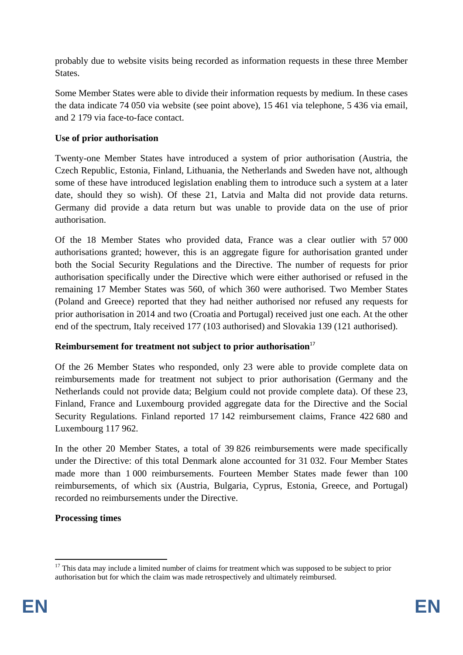probably due to website visits being recorded as information requests in these three Member States.

Some Member States were able to divide their information requests by medium. In these cases the data indicate 74 050 via website (see point above), 15 461 via telephone, 5 436 via email, and 2 179 via face-to-face contact.

## **Use of prior authorisation**

Twenty-one Member States have introduced a system of prior authorisation (Austria, the Czech Republic, Estonia, Finland, Lithuania, the Netherlands and Sweden have not, although some of these have introduced legislation enabling them to introduce such a system at a later date, should they so wish). Of these 21, Latvia and Malta did not provide data returns. Germany did provide a data return but was unable to provide data on the use of prior authorisation.

Of the 18 Member States who provided data, France was a clear outlier with 57 000 authorisations granted; however, this is an aggregate figure for authorisation granted under both the Social Security Regulations and the Directive. The number of requests for prior authorisation specifically under the Directive which were either authorised or refused in the remaining 17 Member States was 560, of which 360 were authorised. Two Member States (Poland and Greece) reported that they had neither authorised nor refused any requests for prior authorisation in 2014 and two (Croatia and Portugal) received just one each. At the other end of the spectrum, Italy received 177 (103 authorised) and Slovakia 139 (121 authorised).

### **Reimbursement for treatment not subject to prior authorisation**<sup>17</sup>

Of the 26 Member States who responded, only 23 were able to provide complete data on reimbursements made for treatment not subject to prior authorisation (Germany and the Netherlands could not provide data; Belgium could not provide complete data). Of these 23, Finland, France and Luxembourg provided aggregate data for the Directive and the Social Security Regulations. Finland reported 17 142 reimbursement claims, France 422 680 and Luxembourg 117 962.

In the other 20 Member States, a total of 39 826 reimbursements were made specifically under the Directive: of this total Denmark alone accounted for 31 032. Four Member States made more than 1 000 reimbursements. Fourteen Member States made fewer than 100 reimbursements, of which six (Austria, Bulgaria, Cyprus, Estonia, Greece, and Portugal) recorded no reimbursements under the Directive.

### **Processing times**

 $17$  This data may include a limited number of claims for treatment which was supposed to be subject to prior authorisation but for which the claim was made retrospectively and ultimately reimbursed.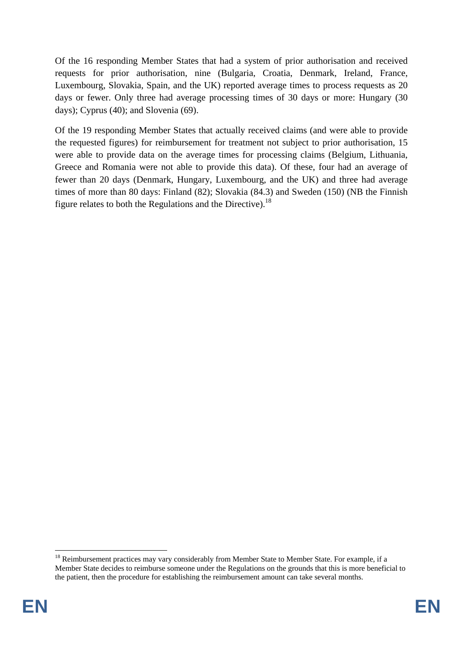Of the 16 responding Member States that had a system of prior authorisation and received requests for prior authorisation, nine (Bulgaria, Croatia, Denmark, Ireland, France, Luxembourg, Slovakia, Spain, and the UK) reported average times to process requests as 20 days or fewer. Only three had average processing times of 30 days or more: Hungary (30 days); Cyprus (40); and Slovenia (69).

Of the 19 responding Member States that actually received claims (and were able to provide the requested figures) for reimbursement for treatment not subject to prior authorisation, 15 were able to provide data on the average times for processing claims (Belgium, Lithuania, Greece and Romania were not able to provide this data). Of these, four had an average of fewer than 20 days (Denmark, Hungary, Luxembourg, and the UK) and three had average times of more than 80 days: Finland (82); Slovakia (84.3) and Sweden (150) (NB the Finnish figure relates to both the Regulations and the Directive).<sup>18</sup>

<sup>1</sup> <sup>18</sup> Reimbursement practices may vary considerably from Member State to Member State. For example, if a Member State decides to reimburse someone under the Regulations on the grounds that this is more beneficial to the patient, then the procedure for establishing the reimbursement amount can take several months.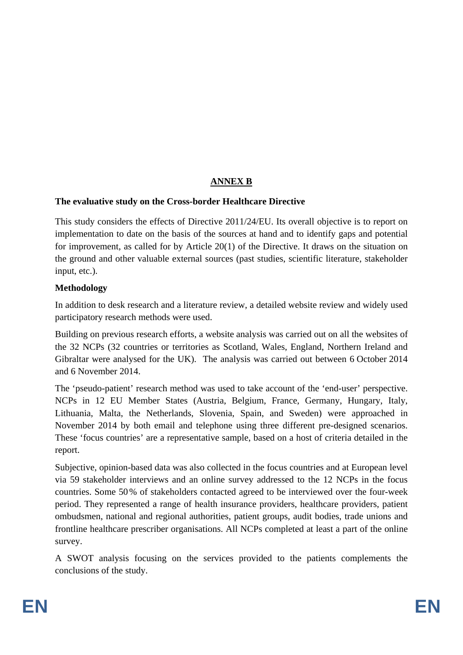# **ANNEX B**

#### **The evaluative study on the Cross-border Healthcare Directive**

This study considers the effects of Directive 2011/24/EU. Its overall objective is to report on implementation to date on the basis of the sources at hand and to identify gaps and potential for improvement, as called for by Article 20(1) of the Directive. It draws on the situation on the ground and other valuable external sources (past studies, scientific literature, stakeholder input, etc.).

#### **Methodology**

In addition to desk research and a literature review, a detailed website review and widely used participatory research methods were used.

Building on previous research efforts, a website analysis was carried out on all the websites of the 32 NCPs (32 countries or territories as Scotland, Wales, England, Northern Ireland and Gibraltar were analysed for the UK). The analysis was carried out between 6 October 2014 and 6 November 2014.

The 'pseudo-patient' research method was used to take account of the 'end-user' perspective. NCPs in 12 EU Member States (Austria, Belgium, France, Germany, Hungary, Italy, Lithuania, Malta, the Netherlands, Slovenia, Spain, and Sweden) were approached in November 2014 by both email and telephone using three different pre-designed scenarios. These 'focus countries' are a representative sample, based on a host of criteria detailed in the report.

Subjective, opinion-based data was also collected in the focus countries and at European level via 59 stakeholder interviews and an online survey addressed to the 12 NCPs in the focus countries. Some 50% of stakeholders contacted agreed to be interviewed over the four-week period. They represented a range of health insurance providers, healthcare providers, patient ombudsmen, national and regional authorities, patient groups, audit bodies, trade unions and frontline healthcare prescriber organisations. All NCPs completed at least a part of the online survey.

A SWOT analysis focusing on the services provided to the patients complements the conclusions of the study.